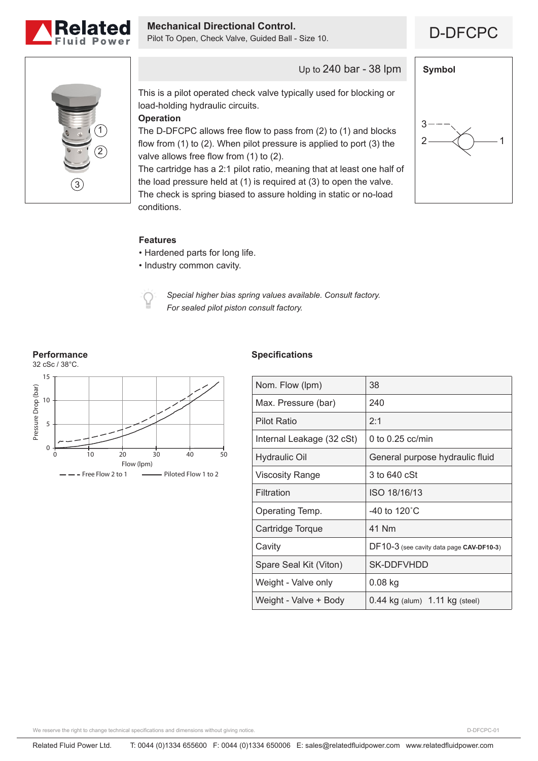

**Mechanical Directional Control.**<br>Pilot To Open, Check Valve, Guided Ball - Size 10. **DERFILM** 



Up to 240 bar - 38 lpm

This is a pilot operated check valve typically used for blocking or load-holding hydraulic circuits.

**Operation**

The D-DFCPC allows free flow to pass from (2) to (1) and blocks flow from (1) to (2). When pilot pressure is applied to port (3) the valve allows free flow from (1) to (2).

The cartridge has a 2:1 pilot ratio, meaning that at least one half of the load pressure held at (1) is required at (3) to open the valve. The check is spring biased to assure holding in static or no-load conditions.



#### **Features**

- Hardened parts for long life.
- Industry common cavity.



*Special higher bias spring values available. Consult factory. For sealed pilot piston consult factory.*

## **Performance**



### **Specifications**

| Nom. Flow (lpm)           | 38                                       |
|---------------------------|------------------------------------------|
| Max. Pressure (bar)       | 240                                      |
| <b>Pilot Ratio</b>        | 2:1                                      |
| Internal Leakage (32 cSt) | 0 to $0.25$ cc/min                       |
| <b>Hydraulic Oil</b>      | General purpose hydraulic fluid          |
| Viscosity Range           | 3 to 640 cSt                             |
| Filtration                | ISO 18/16/13                             |
| Operating Temp.           | -40 to 120 $^{\circ}$ C                  |
| Cartridge Torque          | 41 Nm                                    |
| Cavity                    | DF10-3 (see cavity data page CAV-DF10-3) |
| Spare Seal Kit (Viton)    | SK-DDFVHDD                               |
| Weight - Valve only       | $0.08$ kg                                |
| Weight - Valve + Body     | $0.44$ kg (alum) $1.11$ kg (steel)       |
|                           |                                          |

We reserve the right to change technical specifications and dimensions without giving notice.